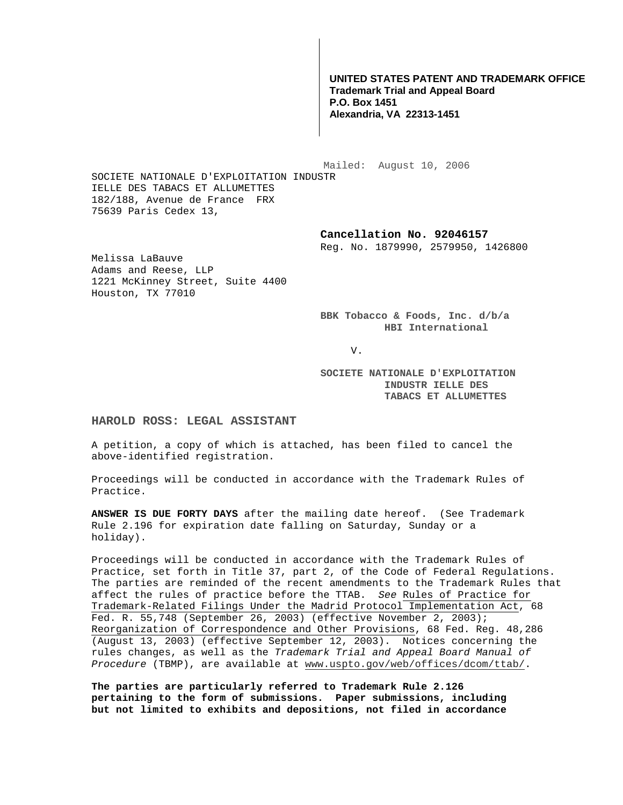**UNITED STATES PATENT AND TRADEMARK OFFICE Trademark Trial and Appeal Board P.O. Box 1451 Alexandria, VA 22313-1451**

 Mailed: August 10, 2006 SOCIETE NATIONALE D'EXPLOITATION INDUSTR IELLE DES TABACS ET ALLUMETTES 182/188, Avenue de France FRX

**Cancellation No. 92046157** 

Reg. No. 1879990, 2579950, 1426800

Melissa LaBauve Adams and Reese, LLP 1221 McKinney Street, Suite 4400 Houston, TX 77010

75639 Paris Cedex 13,

**BBK Tobacco & Foods, Inc. d/b/a HBI International** 

V.

**SOCIETE NATIONALE D'EXPLOITATION INDUSTR IELLE DES TABACS ET ALLUMETTES** 

## **HAROLD ROSS: LEGAL ASSISTANT**

A petition, a copy of which is attached, has been filed to cancel the above-identified registration.

Proceedings will be conducted in accordance with the Trademark Rules of Practice.

**ANSWER IS DUE FORTY DAYS** after the mailing date hereof. (See Trademark Rule 2.196 for expiration date falling on Saturday, Sunday or a holiday).

Proceedings will be conducted in accordance with the Trademark Rules of Practice, set forth in Title 37, part 2, of the Code of Federal Regulations. The parties are reminded of the recent amendments to the Trademark Rules that affect the rules of practice before the TTAB. See Rules of Practice for Trademark-Related Filings Under the Madrid Protocol Implementation Act, 68 Fed. R. 55,748 (September 26, 2003) (effective November 2, 2003); Reorganization of Correspondence and Other Provisions, 68 Fed. Reg. 48,286 (August 13, 2003) (effective September 12, 2003). Notices concerning the rules changes, as well as the Trademark Trial and Appeal Board Manual of Procedure (TBMP), are available at www.uspto.gov/web/offices/dcom/ttab/.

**The parties are particularly referred to Trademark Rule 2.126 pertaining to the form of submissions. Paper submissions, including but not limited to exhibits and depositions, not filed in accordance**